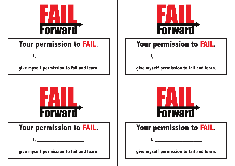





**give myself permission to fail and learn.**

| <b>-orward</b> |  |  |  |  |  |
|----------------|--|--|--|--|--|

# Your permission to FAIL. | | | Your permission to FAIL.

**give myself permission to fail and learn.**

**I, \_\_\_\_\_\_\_\_\_\_\_\_\_\_\_\_\_**

**give myself permission to fail and learn.**

**I, \_\_\_\_\_\_\_\_\_\_\_\_\_\_\_\_\_**